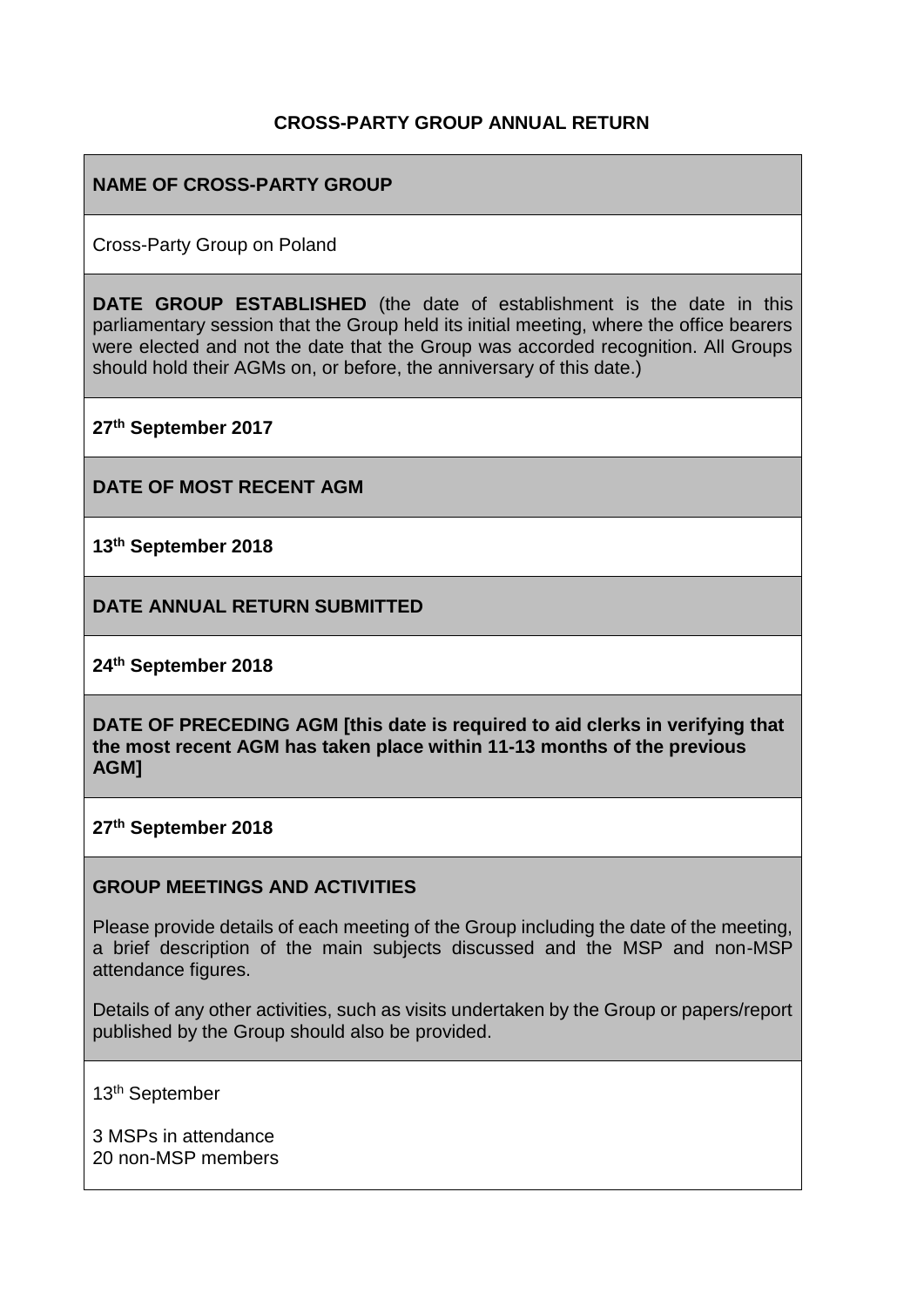## **CROSS-PARTY GROUP ANNUAL RETURN**

## **NAME OF CROSS-PARTY GROUP**

Cross-Party Group on Poland

**DATE GROUP ESTABLISHED** (the date of establishment is the date in this parliamentary session that the Group held its initial meeting, where the office bearers were elected and not the date that the Group was accorded recognition. All Groups should hold their AGMs on, or before, the anniversary of this date.)

**27th September 2017**

**DATE OF MOST RECENT AGM**

**13th September 2018**

**DATE ANNUAL RETURN SUBMITTED**

**24th September 2018**

**DATE OF PRECEDING AGM [this date is required to aid clerks in verifying that the most recent AGM has taken place within 11-13 months of the previous AGM]**

**27th September 2018**

#### **GROUP MEETINGS AND ACTIVITIES**

Please provide details of each meeting of the Group including the date of the meeting, a brief description of the main subjects discussed and the MSP and non-MSP attendance figures.

Details of any other activities, such as visits undertaken by the Group or papers/report published by the Group should also be provided.

13th September

3 MSPs in attendance 20 non-MSP members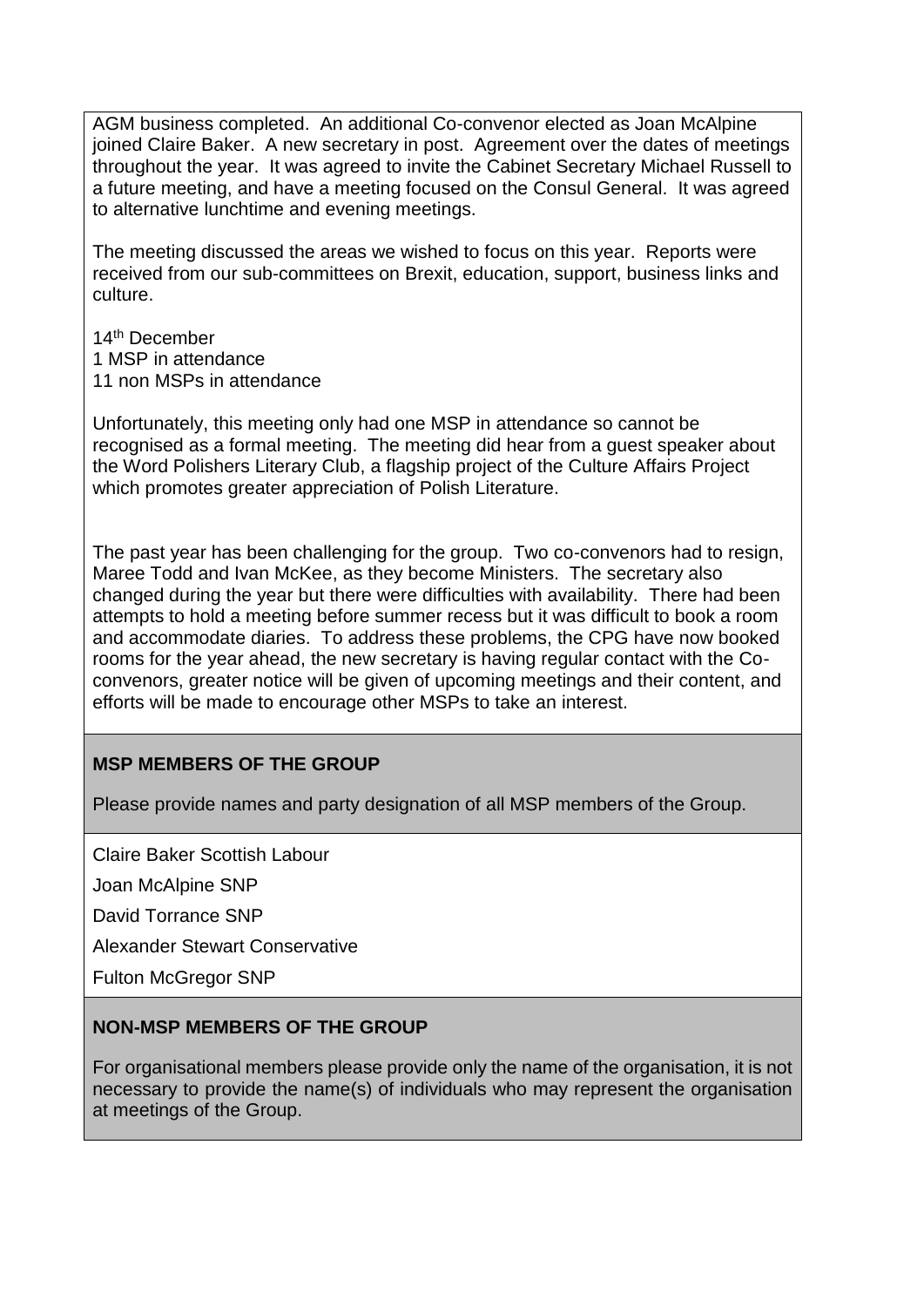AGM business completed. An additional Co-convenor elected as Joan McAlpine joined Claire Baker. A new secretary in post. Agreement over the dates of meetings throughout the year. It was agreed to invite the Cabinet Secretary Michael Russell to a future meeting, and have a meeting focused on the Consul General. It was agreed to alternative lunchtime and evening meetings.

The meeting discussed the areas we wished to focus on this year. Reports were received from our sub-committees on Brexit, education, support, business links and culture.

14th December 1 MSP in attendance 11 non MSPs in attendance

Unfortunately, this meeting only had one MSP in attendance so cannot be recognised as a formal meeting. The meeting did hear from a guest speaker about the Word Polishers Literary Club, a flagship project of the Culture Affairs Project which promotes greater appreciation of Polish Literature.

The past year has been challenging for the group. Two co-convenors had to resign, Maree Todd and Ivan McKee, as they become Ministers. The secretary also changed during the year but there were difficulties with availability. There had been attempts to hold a meeting before summer recess but it was difficult to book a room and accommodate diaries. To address these problems, the CPG have now booked rooms for the year ahead, the new secretary is having regular contact with the Coconvenors, greater notice will be given of upcoming meetings and their content, and efforts will be made to encourage other MSPs to take an interest.

## **MSP MEMBERS OF THE GROUP**

Please provide names and party designation of all MSP members of the Group.

Claire Baker Scottish Labour

Joan McAlpine SNP

David Torrance SNP

Alexander Stewart Conservative

Fulton McGregor SNP

### **NON-MSP MEMBERS OF THE GROUP**

For organisational members please provide only the name of the organisation, it is not necessary to provide the name(s) of individuals who may represent the organisation at meetings of the Group.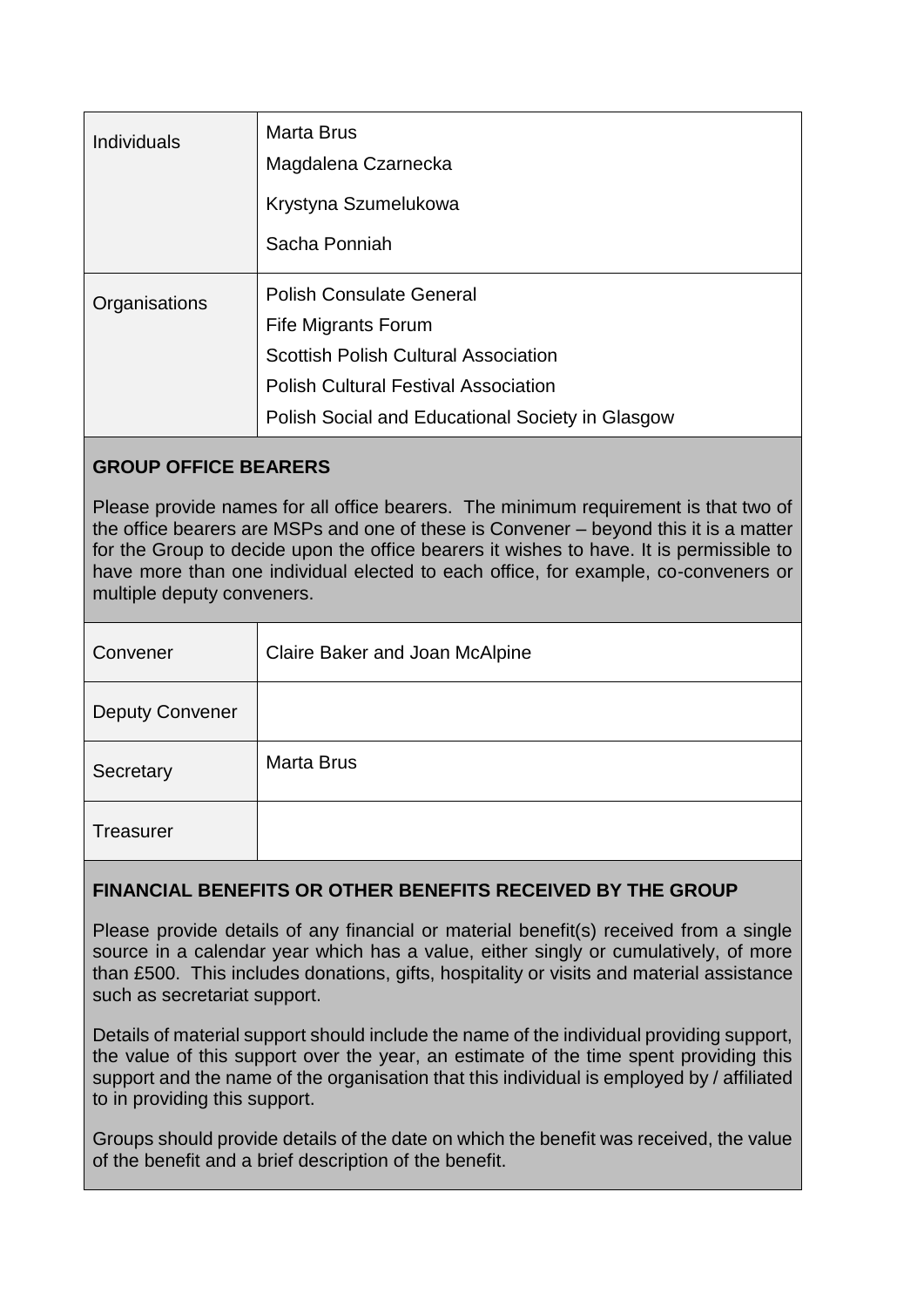| <b>Individuals</b> | <b>Marta Brus</b><br>Magdalena Czarnecka                                                                                                                                                                        |
|--------------------|-----------------------------------------------------------------------------------------------------------------------------------------------------------------------------------------------------------------|
|                    | Krystyna Szumelukowa                                                                                                                                                                                            |
|                    | Sacha Ponniah                                                                                                                                                                                                   |
| Organisations      | <b>Polish Consulate General</b><br><b>Fife Migrants Forum</b><br><b>Scottish Polish Cultural Association</b><br><b>Polish Cultural Festival Association</b><br>Polish Social and Educational Society in Glasgow |

## **GROUP OFFICE BEARERS**

Please provide names for all office bearers. The minimum requirement is that two of the office bearers are MSPs and one of these is Convener – beyond this it is a matter for the Group to decide upon the office bearers it wishes to have. It is permissible to have more than one individual elected to each office, for example, co-conveners or multiple deputy conveners.

| Convener               | Claire Baker and Joan McAlpine |
|------------------------|--------------------------------|
| <b>Deputy Convener</b> |                                |
| Secretary              | <b>Marta Brus</b>              |
| <b>Treasurer</b>       |                                |

# **FINANCIAL BENEFITS OR OTHER BENEFITS RECEIVED BY THE GROUP**

Please provide details of any financial or material benefit(s) received from a single source in a calendar year which has a value, either singly or cumulatively, of more than £500. This includes donations, gifts, hospitality or visits and material assistance such as secretariat support.

Details of material support should include the name of the individual providing support, the value of this support over the year, an estimate of the time spent providing this support and the name of the organisation that this individual is employed by / affiliated to in providing this support.

Groups should provide details of the date on which the benefit was received, the value of the benefit and a brief description of the benefit.